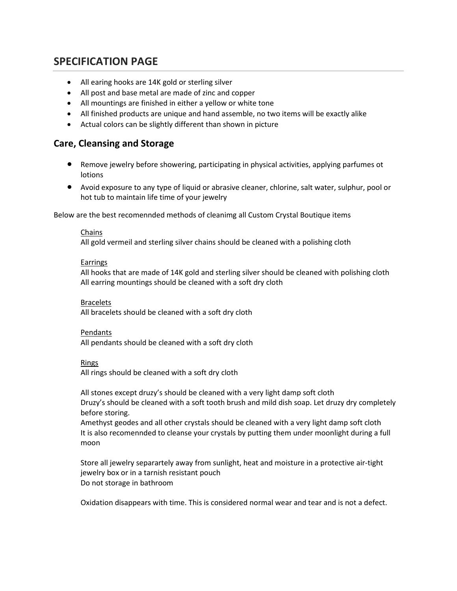# **SPECIFICATION PAGE**

- All earing hooks are 14K gold or sterling silver
- All post and base metal are made of zinc and copper
- All mountings are finished in either a yellow or white tone
- All finished products are unique and hand assemble, no two items will be exactly alike
- Actual colors can be slightly different than shown in picture

## **Care, Cleansing and Storage**

- Remove jewelry before showering, participating in physical activities, applying parfumes ot lotions
- Avoid exposure to any type of liquid or abrasive cleaner, chlorine, salt water, sulphur, pool or hot tub to maintain life time of your jewelry

Below are the best recomennded methods of cleanimg all Custom Crystal Boutique items

## Chains

All gold vermeil and sterling silver chains should be cleaned with a polishing cloth

## **Earrings**

All hooks that are made of 14K gold and sterling silver should be cleaned with polishing cloth All earring mountings should be cleaned with a soft dry cloth

## **Bracelets**

All bracelets should be cleaned with a soft dry cloth

## Pendants

All pendants should be cleaned with a soft dry cloth

#### Rings

All rings should be cleaned with a soft dry cloth

All stones except druzy's should be cleaned with a very light damp soft cloth Druzy's should be cleaned with a soft tooth brush and mild dish soap. Let druzy dry completely before storing.

Amethyst geodes and all other crystals should be cleaned with a very light damp soft cloth It is also recomennded to cleanse your crystals by putting them under moonlight during a full moon

Store all jewelry separartely away from sunlight, heat and moisture in a protective air-tight jewelry box or in a tarnish resistant pouch Do not storage in bathroom

Oxidation disappears with time. This is considered normal wear and tear and is not a defect.